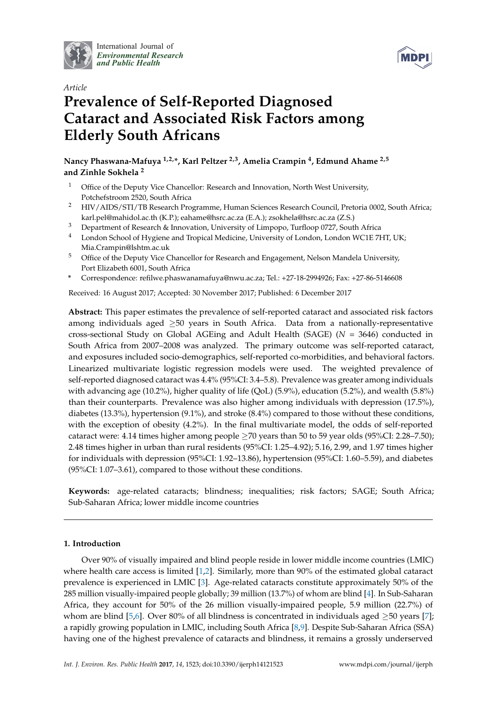

International Journal of *[Environmental Research](http://www.mdpi.com/journal/ijerph) and Public Health*



# *Article* **Prevalence of Self-Reported Diagnosed Cataract and Associated Risk Factors among Elderly South Africans**

**Nancy Phaswana-Mafuya 1,2,\*, Karl Peltzer 2,3, Amelia Crampin <sup>4</sup> , Edmund Ahame 2,5 and Zinhle Sokhela <sup>2</sup>**

- <sup>1</sup> Office of the Deputy Vice Chancellor: Research and Innovation, North West University, Potchefstroom 2520, South Africa
- <sup>2</sup> HIV/AIDS/STI/TB Research Programme, Human Sciences Research Council, Pretoria 0002, South Africa; karl.pel@mahidol.ac.th (K.P.); eahame@hsrc.ac.za (E.A.); zsokhela@hsrc.ac.za (Z.S.)
- <sup>3</sup> Department of Research & Innovation, University of Limpopo, Turfloop 0727, South Africa
- <sup>4</sup> London School of Hygiene and Tropical Medicine, University of London, London WC1E 7HT, UK; Mia.Crampin@lshtm.ac.uk
- <sup>5</sup> Office of the Deputy Vice Chancellor for Research and Engagement, Nelson Mandela University, Port Elizabeth 6001, South Africa
- **\*** Correspondence: refilwe.phaswanamafuya@nwu.ac.za; Tel.: +27-18-2994926; Fax: +27-86-5146608

Received: 16 August 2017; Accepted: 30 November 2017; Published: 6 December 2017

**Abstract:** This paper estimates the prevalence of self-reported cataract and associated risk factors among individuals aged ≥50 years in South Africa. Data from a nationally-representative cross-sectional Study on Global AGEing and Adult Health (SAGE) (*N* = 3646) conducted in South Africa from 2007–2008 was analyzed. The primary outcome was self-reported cataract, and exposures included socio-demographics, self-reported co-morbidities, and behavioral factors. Linearized multivariate logistic regression models were used. The weighted prevalence of self-reported diagnosed cataract was 4.4% (95%CI: 3.4–5.8). Prevalence was greater among individuals with advancing age (10.2%), higher quality of life (QoL) (5.9%), education (5.2%), and wealth (5.8%) than their counterparts. Prevalence was also higher among individuals with depression (17.5%), diabetes (13.3%), hypertension (9.1%), and stroke (8.4%) compared to those without these conditions, with the exception of obesity (4.2%). In the final multivariate model, the odds of self-reported cataract were: 4.14 times higher among people  $\geq$  70 years than 50 to 59 year olds (95%CI: 2.28–7.50); 2.48 times higher in urban than rural residents (95%CI: 1.25–4.92); 5.16, 2.99, and 1.97 times higher for individuals with depression (95%CI: 1.92–13.86), hypertension (95%CI: 1.60–5.59), and diabetes (95%CI: 1.07–3.61), compared to those without these conditions.

**Keywords:** age-related cataracts; blindness; inequalities; risk factors; SAGE; South Africa; Sub-Saharan Africa; lower middle income countries

## **1. Introduction**

Over 90% of visually impaired and blind people reside in lower middle income countries (LMIC) where health care access is limited [\[1](#page-7-0)[,2\]](#page-7-1). Similarly, more than 90% of the estimated global cataract prevalence is experienced in LMIC [\[3\]](#page-7-2). Age-related cataracts constitute approximately 50% of the 285 million visually-impaired people globally; 39 million (13.7%) of whom are blind [\[4\]](#page-7-3). In Sub-Saharan Africa, they account for 50% of the 26 million visually-impaired people, 5.9 million (22.7%) of whom are blind [\[5](#page-8-0)[,6\]](#page-8-1). Over 80% of all blindness is concentrated in individuals aged  $>50$  years [\[7\]](#page-8-2); a rapidly growing population in LMIC, including South Africa [\[8](#page-8-3)[,9\]](#page-8-4). Despite Sub-Saharan Africa (SSA) having one of the highest prevalence of cataracts and blindness, it remains a grossly underserved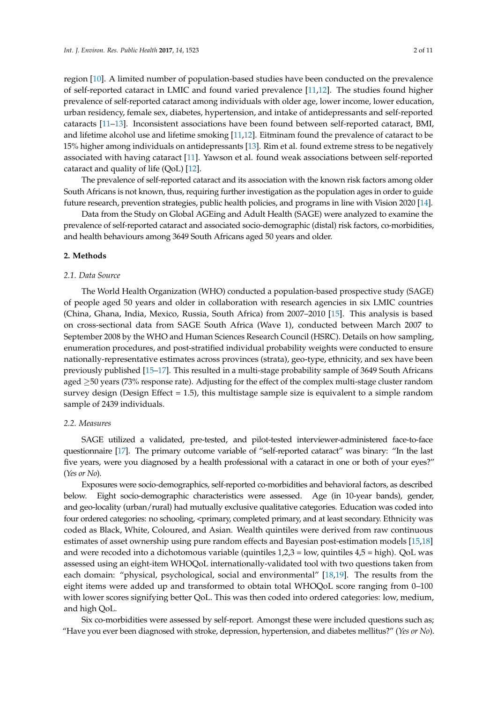region [\[10\]](#page-8-5). A limited number of population-based studies have been conducted on the prevalence of self-reported cataract in LMIC and found varied prevalence [\[11,](#page-8-6)[12\]](#page-8-7). The studies found higher prevalence of self-reported cataract among individuals with older age, lower income, lower education, urban residency, female sex, diabetes, hypertension, and intake of antidepressants and self-reported cataracts [\[11–](#page-8-6)[13\]](#page-8-8). Inconsistent associations have been found between self-reported cataract, BMI, and lifetime alcohol use and lifetime smoking [\[11](#page-8-6)[,12\]](#page-8-7). Eitminam found the prevalence of cataract to be 15% higher among individuals on antidepressants [\[13\]](#page-8-8). Rim et al. found extreme stress to be negatively associated with having cataract [\[11\]](#page-8-6). Yawson et al. found weak associations between self-reported cataract and quality of life  $(QoL)$  [\[12\]](#page-8-7).

The prevalence of self-reported cataract and its association with the known risk factors among older South Africans is not known, thus, requiring further investigation as the population ages in order to guide future research, prevention strategies, public health policies, and programs in line with Vision 2020 [\[14\]](#page-8-9).

Data from the Study on Global AGEing and Adult Health (SAGE) were analyzed to examine the prevalence of self-reported cataract and associated socio-demographic (distal) risk factors, co-morbidities, and health behaviours among 3649 South Africans aged 50 years and older.

#### **2. Methods**

#### *2.1. Data Source*

The World Health Organization (WHO) conducted a population-based prospective study (SAGE) of people aged 50 years and older in collaboration with research agencies in six LMIC countries (China, Ghana, India, Mexico, Russia, South Africa) from 2007–2010 [\[15\]](#page-8-10). This analysis is based on cross-sectional data from SAGE South Africa (Wave 1), conducted between March 2007 to September 2008 by the WHO and Human Sciences Research Council (HSRC). Details on how sampling, enumeration procedures, and post-stratified individual probability weights were conducted to ensure nationally-representative estimates across provinces (strata), geo-type, ethnicity, and sex have been previously published [\[15](#page-8-10)[–17\]](#page-8-11). This resulted in a multi-stage probability sample of 3649 South Africans aged ≥50 years (73% response rate). Adjusting for the effect of the complex multi-stage cluster random survey design (Design Effect  $= 1.5$ ), this multistage sample size is equivalent to a simple random sample of 2439 individuals.

#### *2.2. Measures*

SAGE utilized a validated, pre-tested, and pilot-tested interviewer-administered face-to-face questionnaire [\[17\]](#page-8-11). The primary outcome variable of "self-reported cataract" was binary: "In the last five years, were you diagnosed by a health professional with a cataract in one or both of your eyes?" (*Yes or No*).

Exposures were socio-demographics, self-reported co-morbidities and behavioral factors, as described below. Eight socio-demographic characteristics were assessed. Age (in 10-year bands), gender, and geo-locality (urban/rural) had mutually exclusive qualitative categories. Education was coded into four ordered categories: no schooling, <primary, completed primary, and at least secondary. Ethnicity was coded as Black, White, Coloured, and Asian. Wealth quintiles were derived from raw continuous estimates of asset ownership using pure random effects and Bayesian post-estimation models [\[15](#page-8-10)[,18\]](#page-8-12) and were recoded into a dichotomous variable (quintiles 1,2,3 = low, quintiles 4,5 = high). QoL was assessed using an eight-item WHOQoL internationally-validated tool with two questions taken from each domain: "physical, psychological, social and environmental" [\[18](#page-8-12)[,19\]](#page-8-13). The results from the eight items were added up and transformed to obtain total WHOQoL score ranging from 0–100 with lower scores signifying better QoL. This was then coded into ordered categories: low, medium, and high QoL.

Six co-morbidities were assessed by self-report. Amongst these were included questions such as; "Have you ever been diagnosed with stroke, depression, hypertension, and diabetes mellitus?" (*Yes or No*).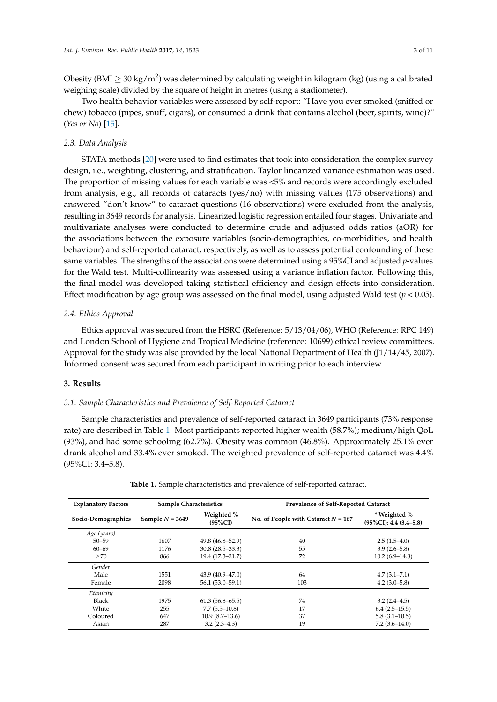Obesity (BMI  $\geq$  30 kg/m<sup>2</sup>) was determined by calculating weight in kilogram (kg) (using a calibrated weighing scale) divided by the square of height in metres (using a stadiometer).

Two health behavior variables were assessed by self-report: "Have you ever smoked (sniffed or chew) tobacco (pipes, snuff, cigars), or consumed a drink that contains alcohol (beer, spirits, wine)?" (*Yes or No*) [\[15\]](#page-8-10).

### *2.3. Data Analysis*

STATA methods [\[20\]](#page-8-14) were used to find estimates that took into consideration the complex survey design, i.e., weighting, clustering, and stratification. Taylor linearized variance estimation was used. The proportion of missing values for each variable was <5% and records were accordingly excluded from analysis, e.g., all records of cataracts (yes/no) with missing values (175 observations) and answered "don't know" to cataract questions (16 observations) were excluded from the analysis, resulting in 3649 records for analysis. Linearized logistic regression entailed four stages. Univariate and multivariate analyses were conducted to determine crude and adjusted odds ratios (aOR) for the associations between the exposure variables (socio-demographics, co-morbidities, and health behaviour) and self-reported cataract, respectively, as well as to assess potential confounding of these same variables. The strengths of the associations were determined using a 95%CI and adjusted *p*-values for the Wald test. Multi-collinearity was assessed using a variance inflation factor. Following this, the final model was developed taking statistical efficiency and design effects into consideration. Effect modification by age group was assessed on the final model, using adjusted Wald test ( $p < 0.05$ ).

## *2.4. Ethics Approval*

Ethics approval was secured from the HSRC (Reference: 5/13/04/06), WHO (Reference: RPC 149) and London School of Hygiene and Tropical Medicine (reference: 10699) ethical review committees. Approval for the study was also provided by the local National Department of Health (J1/14/45, 2007). Informed consent was secured from each participant in writing prior to each interview.

#### **3. Results**

### *3.1. Sample Characteristics and Prevalence of Self-Reported Cataract*

Sample characteristics and prevalence of self-reported cataract in 3649 participants (73% response rate) are described in Table [1.](#page-3-0) Most participants reported higher wealth (58.7%); medium/high QoL (93%), and had some schooling (62.7%). Obesity was common (46.8%). Approximately 25.1% ever drank alcohol and 33.4% ever smoked. The weighted prevalence of self-reported cataract was 4.4% (95%CI: 3.4–5.8).

| <b>Explanatory Factors</b> | <b>Sample Characteristics</b> |                          | Prevalence of Self-Reported Cataract  |                                             |
|----------------------------|-------------------------------|--------------------------|---------------------------------------|---------------------------------------------|
| Socio-Demographics         | Sample $N = 3649$             | Weighted %<br>$(95\%CI)$ | No. of People with Cataract $N = 167$ | * Weighted %<br>$(95\%CI): 4.4 (3.4 - 5.8)$ |
| Age (years)                |                               |                          |                                       |                                             |
| $50 - 59$                  | 1607                          | $49.8(46.8 - 52.9)$      | 40                                    | $2.5(1.5-4.0)$                              |
| $60 - 69$                  | 1176                          | $30.8(28.5 - 33.3)$      | 55                                    | $3.9(2.6 - 5.8)$                            |
| >70                        | 866                           | 19.4 (17.3–21.7)         | 72                                    | $10.2(6.9-14.8)$                            |
| Gender                     |                               |                          |                                       |                                             |
| Male                       | 1551                          | $43.9(40.9 - 47.0)$      | 64                                    | $4.7(3.1 - 7.1)$                            |
| Female                     | 2098                          | $56.1(53.0-59.1)$        | 103                                   | $4.2(3.0-5.8)$                              |
| Ethnicity                  |                               |                          |                                       |                                             |
| Black                      | 1975                          | $61.3(56.8 - 65.5)$      | 74                                    | $3.2(2.4 - 4.5)$                            |
| White                      | 255                           | $7.7(5.5-10.8)$          | 17                                    | $6.4(2.5-15.5)$                             |
| Coloured                   | 647                           | $10.9(8.7-13.6)$         | 37                                    | $5.8(3.1-10.5)$                             |
| Asian                      | 287                           | $3.2(2.3-4.3)$           | 19                                    | $7.2(3.6-14.0)$                             |

**Table 1.** Sample characteristics and prevalence of self-reported cataract.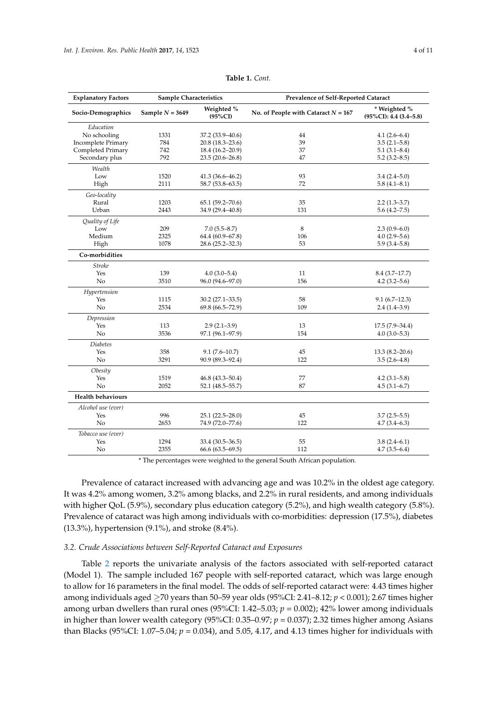<span id="page-3-0"></span>

| <b>Explanatory Factors</b> | <b>Sample Characteristics</b> |                          | Prevalence of Self-Reported Cataract  |                                             |  |
|----------------------------|-------------------------------|--------------------------|---------------------------------------|---------------------------------------------|--|
| Socio-Demographics         | Sample $N = 3649$             | Weighted %<br>$(95\%CI)$ | No. of People with Cataract $N = 167$ | * Weighted %<br>$(95\%CI): 4.4 (3.4 - 5.8)$ |  |
| Education                  |                               |                          |                                       |                                             |  |
| No schooling               | 1331                          | 37.2 (33.9-40.6)         | 44                                    | $4.1(2.6-6.4)$                              |  |
| <b>Incomplete Primary</b>  | 784                           | 20.8 (18.3–23.6)         | 39                                    | $3.5(2.1 - 5.8)$                            |  |
| Completed Primary          | 742                           | 18.4 (16.2-20.9)         | 37                                    | $5.1(3.1 - 8.4)$                            |  |
| Secondary plus             | 792                           | 23.5 (20.6-26.8)         | 47                                    | $5.2(3.2 - 8.5)$                            |  |
| Wealth                     |                               |                          |                                       |                                             |  |
| Low                        | 1520                          | 41.3 (36.6-46.2)         | 93                                    | $3.4(2.4 - 5.0)$                            |  |
| High                       | 2111                          | 58.7 (53.8–63.5)         | 72                                    | $5.8(4.1 - 8.1)$                            |  |
| Geo-locality               |                               |                          |                                       |                                             |  |
| Rural                      | 1203                          | $65.1(59.2 - 70.6)$      | 35                                    | $2.2(1.3 - 3.7)$                            |  |
| Urban                      | 2443                          | 34.9 (29.4-40.8)         | 131                                   | $5.6(4.2 - 7.5)$                            |  |
| Quality of Life            |                               |                          |                                       |                                             |  |
| Low                        | 209                           | $7.0(5.5 - 8.7)$         | 8                                     | $2.3(0.9-6.0)$                              |  |
| Medium                     | 2325                          | 64.4 (60.9-67.8)         | 106                                   | $4.0(2.9-5.6)$                              |  |
| High                       | 1078                          | 28.6 (25.2–32.3)         | 53                                    | $5.9(3.4-5.8)$                              |  |
| Co-morbidities             |                               |                          |                                       |                                             |  |
| <b>Stroke</b>              |                               |                          |                                       |                                             |  |
| Yes                        | 139                           | $4.0(3.0-5.4)$           | 11                                    | $8.4(3.7-17.7)$                             |  |
| No                         | 3510                          | 96.0 (94.6-97.0)         | 156                                   | $4.2(3.2 - 5.6)$                            |  |
| Hypertension               |                               |                          |                                       |                                             |  |
| Yes                        | 1115                          | 30.2 (27.1-33.5)         | 58                                    | $9.1(6.7-12.3)$                             |  |
| No                         | 2534                          | 69.8 (66.5-72.9)         | 109                                   | $2.4(1.4-3.9)$                              |  |
| Depression                 |                               |                          |                                       |                                             |  |
| Yes                        | 113                           | $2.9(2.1-3.9)$           | 13                                    | $17.5(7.9-34.4)$                            |  |
| No                         | 3536                          | 97.1 (96.1-97.9)         | 154                                   | $4.0(3.0-5.3)$                              |  |
| <b>Diabetes</b>            |                               |                          |                                       |                                             |  |
| Yes                        | 358                           | $9.1(7.6-10.7)$          | 45                                    | $13.3(8.2 - 20.6)$                          |  |
| No                         | 3291                          | 90.9 (89.3-92.4)         | 122                                   | $3.5(2.6-4.8)$                              |  |
| Obesity                    |                               |                          |                                       |                                             |  |
| Yes                        | 1519                          | 46.8 (43.3–50.4)         | 77                                    | $4.2(3.1 - 5.8)$                            |  |
| No                         | 2052                          | 52.1 (48.5-55.7)         | 87                                    | $4.5(3.1-6.7)$                              |  |
| <b>Health behaviours</b>   |                               |                          |                                       |                                             |  |
| Alcohol use (ever)         |                               |                          |                                       |                                             |  |
| Yes                        | 996                           | 25.1 (22.5-28.0)         | 45                                    | $3.7(2.5-5.5)$                              |  |
| No                         | 2653                          | 74.9 (72.0-77.6)         | 122                                   | $4.7(3.4 - 6.3)$                            |  |
| Tobacco use (ever)         |                               |                          |                                       |                                             |  |
| Yes                        | 1294                          | 33.4 (30.5–36.5)         | 55                                    | $3.8(2.4 - 6.1)$                            |  |
| No                         | 2355                          | 66.6 (63.5–69.5)         | 112                                   | $4.7(3.5-6.4)$                              |  |

**Table 1.** *Cont.*

\* The percentages were weighted to the general South African population.

Prevalence of cataract increased with advancing age and was 10.2% in the oldest age category. It was 4.2% among women, 3.2% among blacks, and 2.2% in rural residents, and among individuals with higher QoL (5.9%), secondary plus education category (5.2%), and high wealth category (5.8%). Prevalence of cataract was high among individuals with co-morbidities: depression (17.5%), diabetes (13.3%), hypertension (9.1%), and stroke (8.4%).

#### *3.2. Crude Associations between Self-Reported Cataract and Exposures*

Table [2](#page-4-0) reports the univariate analysis of the factors associated with self-reported cataract (Model 1). The sample included 167 people with self-reported cataract, which was large enough to allow for 16 parameters in the final model. The odds of self-reported cataract were: 4.43 times higher among individuals aged ≥70 years than 50–59 year olds (95%CI: 2.41–8.12; *p* < 0.001); 2.67 times higher among urban dwellers than rural ones (95%CI: 1.42–5.03; *p* = 0.002); 42% lower among individuals in higher than lower wealth category (95%CI: 0.35–0.97; *p* = 0.037); 2.32 times higher among Asians than Blacks (95%CI: 1.07–5.04; *p* = 0.034), and 5.05, 4.17, and 4.13 times higher for individuals with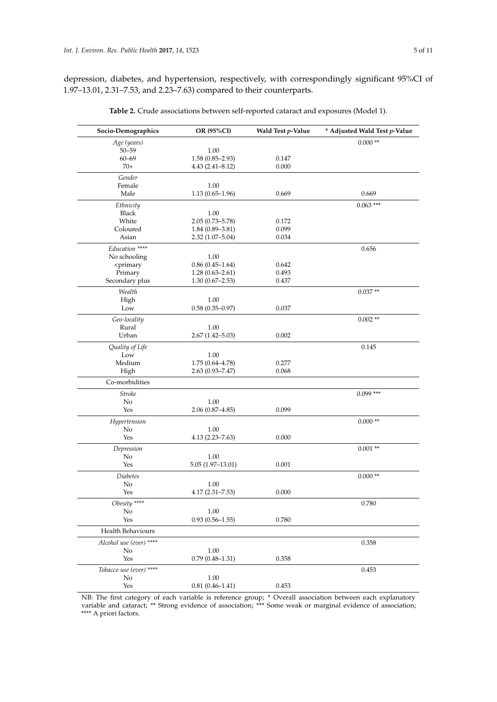<span id="page-4-0"></span>depression, diabetes, and hypertension, respectively, with correspondingly significant 95%CI of 1.97–13.01, 2.31–7.53, and 2.23–7.63) compared to their counterparts.

| Socio-Demographics                                                                      | OR (95%CI)          | Wald Test p-Value | * Adjusted Wald Test p-Value |
|-----------------------------------------------------------------------------------------|---------------------|-------------------|------------------------------|
| Age (years)<br>$50 - 59$                                                                | 1.00                |                   | $0.000**$                    |
| $60 - 69$                                                                               | $1.58(0.85 - 2.93)$ | 0.147             |                              |
| $70+$                                                                                   | $4.43(2.41 - 8.12)$ | 0.000             |                              |
| Gender                                                                                  |                     |                   |                              |
| Female                                                                                  | 1.00                |                   |                              |
| Male                                                                                    | $1.13(0.65 - 1.96)$ | 0.669             | 0.669                        |
| Ethnicity                                                                               |                     |                   | $0.063$ ***                  |
| <b>Black</b>                                                                            | 1.00                |                   |                              |
| White                                                                                   | $2.05(0.73 - 5.78)$ | 0.172             |                              |
| Coloured                                                                                | $1.84(0.89 - 3.81)$ | 0.099             |                              |
| Asian                                                                                   | $2.32(1.07 - 5.04)$ | 0.034             |                              |
| Education ****                                                                          |                     |                   | 0.656                        |
| No schooling                                                                            | 1.00                |                   |                              |
| <primary< td=""><td><math>0.86(0.45-1.64)</math></td><td>0.642</td><td></td></primary<> | $0.86(0.45-1.64)$   | 0.642             |                              |
| Primary                                                                                 | $1.28(0.63 - 2.61)$ | 0.493             |                              |
| Secondary plus                                                                          | $1.30(0.67 - 2.53)$ | 0.437             |                              |
| Wealth                                                                                  |                     |                   | $0.037**$                    |
| High                                                                                    | 1.00                |                   |                              |
| Low                                                                                     | $0.58(0.35 - 0.97)$ | 0.037             |                              |
| Geo-locality                                                                            |                     |                   | $0.002**$                    |
| Rural                                                                                   | 1.00                |                   |                              |
| Urban                                                                                   | $2.67(1.42 - 5.03)$ | 0.002             |                              |
| Quality of Life                                                                         |                     |                   | 0.145                        |
| Low                                                                                     | 1.00                |                   |                              |
| Medium                                                                                  | $1.75(0.64 - 4.78)$ | 0.277             |                              |
| High                                                                                    | $2.63(0.93 - 7.47)$ | 0.068             |                              |
| Co-morbidities                                                                          |                     |                   |                              |
| <b>Stroke</b>                                                                           |                     |                   | $0.099***$                   |
| No                                                                                      | 1.00                |                   |                              |
| Yes                                                                                     | $2.06(0.87 - 4.85)$ | 0.099             |                              |
| Hypertension                                                                            |                     |                   | $0.000**$                    |
| No                                                                                      | 1.00                |                   |                              |
| Yes                                                                                     | $4.13(2.23 - 7.63)$ | 0.000             |                              |
| Depression                                                                              |                     |                   | $0.001**$                    |
| No                                                                                      | 1.00                |                   |                              |
| Yes                                                                                     | $5.05(1.97-13.01)$  | 0.001             |                              |
| <b>Diabetes</b>                                                                         |                     |                   | $0.000**$                    |
| No                                                                                      | 1.00                |                   |                              |
| Yes                                                                                     | $4.17(2.31 - 7.53)$ | 0.000             |                              |
| Obesity ****                                                                            |                     |                   | 0.780                        |
| $\rm No$                                                                                | 1.00                |                   |                              |
| Yes                                                                                     | $0.93(0.56 - 1.55)$ | 0.780             |                              |
| Health Behaviours                                                                       |                     |                   |                              |
| Alcohol use (ever) ****                                                                 |                     |                   | 0.358                        |
| No                                                                                      | 1.00                |                   |                              |
| Yes                                                                                     | $0.79(0.48 - 1.31)$ | 0.358             |                              |
| Tobacco use (ever) ****                                                                 |                     |                   | 0.453                        |
| No                                                                                      | 1.00                |                   |                              |
| Yes                                                                                     | $0.81(0.46 - 1.41)$ | 0.453             |                              |
|                                                                                         |                     |                   |                              |

**Table 2.** Crude associations between self-reported cataract and exposures (Model 1).

NB: The first category of each variable is reference group; \* Overall association between each explanatory variable and cataract; \*\* Strong evidence of association; \*\*\* Some weak or marginal evidence of association; \*\*\*\* A priori factors.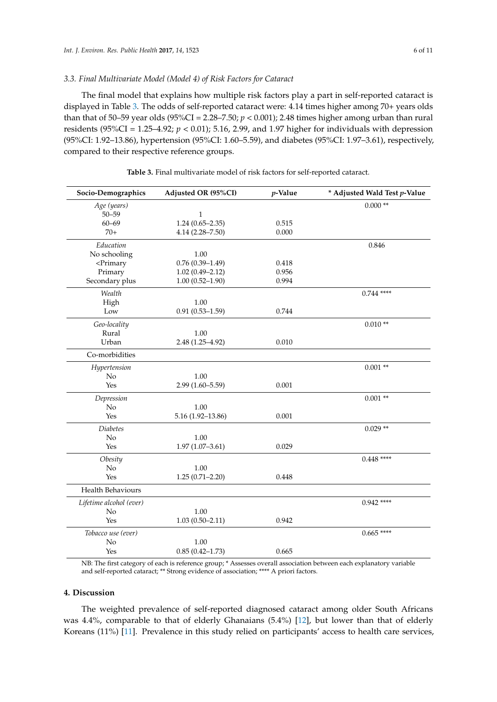#### *3.3. Final Multivariate Model (Model 4) of Risk Factors for Cataract*

The final model that explains how multiple risk factors play a part in self-reported cataract is displayed in Table [3.](#page-5-0) The odds of self-reported cataract were: 4.14 times higher among 70+ years olds than that of 50–59 year olds (95%CI = 2.28–7.50;  $p < 0.001$ ); 2.48 times higher among urban than rural residents (95%CI = 1.25–4.92;  $p < 0.01$ ); 5.16, 2.99, and 1.97 higher for individuals with depression (95%CI: 1.92–13.86), hypertension (95%CI: 1.60–5.59), and diabetes (95%CI: 1.97–3.61), respectively, compared to their respective reference groups.

<span id="page-5-0"></span>

| Socio-Demographics                                                                        | Adjusted OR (95%CI)  | $p$ -Value | * Adjusted Wald Test p-Value |
|-------------------------------------------------------------------------------------------|----------------------|------------|------------------------------|
| Age (years)                                                                               |                      |            | $0.000**$                    |
| $50 - 59$                                                                                 | 1                    |            |                              |
| $60 - 69$                                                                                 | $1.24(0.65 - 2.35)$  | 0.515      |                              |
| $70+$                                                                                     | $4.14(2.28 - 7.50)$  | 0.000      |                              |
| Education                                                                                 |                      |            | 0.846                        |
| No schooling                                                                              | 1.00                 |            |                              |
| <primary< td=""><td><math>0.76(0.39 - 1.49)</math></td><td>0.418</td><td></td></primary<> | $0.76(0.39 - 1.49)$  | 0.418      |                              |
| Primary                                                                                   | $1.02(0.49 - 2.12)$  | 0.956      |                              |
| Secondary plus                                                                            | $1.00(0.52 - 1.90)$  | 0.994      |                              |
| Wealth                                                                                    |                      |            | $0.744$ ****                 |
| High                                                                                      | 1.00                 |            |                              |
| Low                                                                                       | $0.91(0.53 - 1.59)$  | 0.744      |                              |
| Geo-locality                                                                              |                      |            | $0.010**$                    |
| Rural                                                                                     | 1.00                 |            |                              |
| Urban                                                                                     | 2.48 (1.25-4.92)     | 0.010      |                              |
| Co-morbidities                                                                            |                      |            |                              |
| Hypertension                                                                              |                      |            | $0.001**$                    |
| No                                                                                        | 1.00                 |            |                              |
| Yes                                                                                       | $2.99(1.60 - 5.59)$  | 0.001      |                              |
| Depression                                                                                |                      |            | $0.001**$                    |
| No                                                                                        | 1.00                 |            |                              |
| Yes                                                                                       | $5.16(1.92 - 13.86)$ | 0.001      |                              |
| <b>Diabetes</b>                                                                           |                      |            | $0.029**$                    |
| No                                                                                        | 1.00                 |            |                              |
| Yes                                                                                       | $1.97(1.07 - 3.61)$  | 0.029      |                              |
| Obesity                                                                                   |                      |            | $0.448$ ****                 |
| No                                                                                        | 1.00                 |            |                              |
| Yes                                                                                       | $1.25(0.71 - 2.20)$  | 0.448      |                              |
| <b>Health Behaviours</b>                                                                  |                      |            |                              |
| Lifetime alcohol (ever)                                                                   |                      |            | $0.942$ ****                 |
| No                                                                                        | 1.00                 |            |                              |
| Yes                                                                                       | $1.03(0.50 - 2.11)$  | 0.942      |                              |
| Tobacco use (ever)                                                                        |                      |            | $0.665$ ****                 |
| No                                                                                        | $1.00\,$             |            |                              |
| Yes                                                                                       | $0.85(0.42 - 1.73)$  | 0.665      |                              |

**Table 3.** Final multivariate model of risk factors for self-reported cataract.

NB: The first category of each is reference group; \* Assesses overall association between each explanatory variable and self-reported cataract; \*\* Strong evidence of association; \*\*\*\* A priori factors.

#### **4. Discussion**

The weighted prevalence of self-reported diagnosed cataract among older South Africans was 4.4%, comparable to that of elderly Ghanaians (5.4%) [\[12\]](#page-8-7), but lower than that of elderly Koreans (11%) [\[11\]](#page-8-6). Prevalence in this study relied on participants' access to health care services,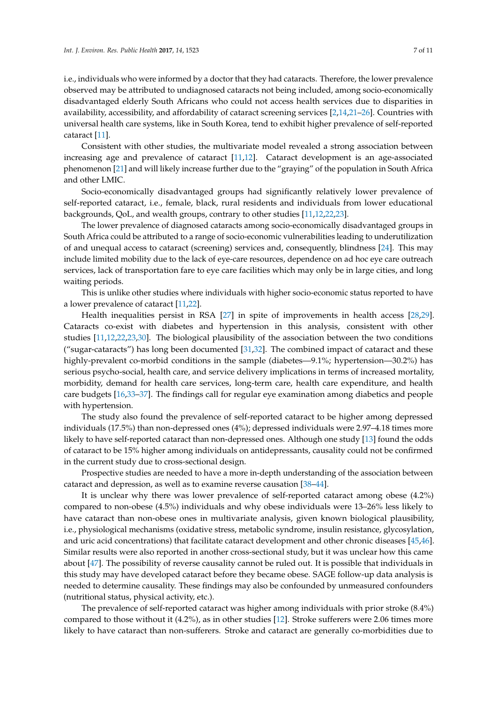i.e., individuals who were informed by a doctor that they had cataracts. Therefore, the lower prevalence observed may be attributed to undiagnosed cataracts not being included, among socio-economically disadvantaged elderly South Africans who could not access health services due to disparities in availability, accessibility, and affordability of cataract screening services [\[2](#page-7-1)[,14](#page-8-9)[,21](#page-8-15)[–26\]](#page-8-16). Countries with universal health care systems, like in South Korea, tend to exhibit higher prevalence of self-reported cataract [\[11\]](#page-8-6).

Consistent with other studies, the multivariate model revealed a strong association between increasing age and prevalence of cataract [\[11](#page-8-6)[,12\]](#page-8-7). Cataract development is an age-associated phenomenon [\[21\]](#page-8-15) and will likely increase further due to the "graying" of the population in South Africa and other LMIC.

Socio-economically disadvantaged groups had significantly relatively lower prevalence of self-reported cataract, i.e., female, black, rural residents and individuals from lower educational backgrounds, QoL, and wealth groups, contrary to other studies [\[11](#page-8-6)[,12](#page-8-7)[,22,](#page-8-17)[23\]](#page-8-18).

The lower prevalence of diagnosed cataracts among socio-economically disadvantaged groups in South Africa could be attributed to a range of socio-economic vulnerabilities leading to underutilization of and unequal access to cataract (screening) services and, consequently, blindness [\[24\]](#page-8-19). This may include limited mobility due to the lack of eye-care resources, dependence on ad hoc eye care outreach services, lack of transportation fare to eye care facilities which may only be in large cities, and long waiting periods.

This is unlike other studies where individuals with higher socio-economic status reported to have a lower prevalence of cataract [\[11](#page-8-6)[,22\]](#page-8-17).

Health inequalities persist in RSA [\[27\]](#page-9-0) in spite of improvements in health access [\[28,](#page-9-1)[29\]](#page-9-2). Cataracts co-exist with diabetes and hypertension in this analysis, consistent with other studies [\[11](#page-8-6)[,12](#page-8-7)[,22,](#page-8-17)[23,](#page-8-18)[30\]](#page-9-3). The biological plausibility of the association between the two conditions ("sugar-cataracts") has long been documented [\[31](#page-9-4)[,32\]](#page-9-5). The combined impact of cataract and these highly-prevalent co-morbid conditions in the sample (diabetes—9.1%; hypertension—30.2%) has serious psycho-social, health care, and service delivery implications in terms of increased mortality, morbidity, demand for health care services, long-term care, health care expenditure, and health care budgets [\[16,](#page-8-20)[33](#page-9-6)[–37\]](#page-9-7). The findings call for regular eye examination among diabetics and people with hypertension.

The study also found the prevalence of self-reported cataract to be higher among depressed individuals (17.5%) than non-depressed ones (4%); depressed individuals were 2.97–4.18 times more likely to have self-reported cataract than non-depressed ones. Although one study [\[13\]](#page-8-8) found the odds of cataract to be 15% higher among individuals on antidepressants, causality could not be confirmed in the current study due to cross-sectional design.

Prospective studies are needed to have a more in-depth understanding of the association between cataract and depression, as well as to examine reverse causation [\[38](#page-9-8)[–44\]](#page-9-9).

It is unclear why there was lower prevalence of self-reported cataract among obese (4.2%) compared to non-obese (4.5%) individuals and why obese individuals were 13–26% less likely to have cataract than non-obese ones in multivariate analysis, given known biological plausibility, i.e., physiological mechanisms (oxidative stress, metabolic syndrome, insulin resistance, glycosylation, and uric acid concentrations) that facilitate cataract development and other chronic diseases [\[45,](#page-9-10)[46\]](#page-9-11). Similar results were also reported in another cross-sectional study, but it was unclear how this came about [\[47\]](#page-9-12). The possibility of reverse causality cannot be ruled out. It is possible that individuals in this study may have developed cataract before they became obese. SAGE follow-up data analysis is needed to determine causality. These findings may also be confounded by unmeasured confounders (nutritional status, physical activity, etc.).

The prevalence of self-reported cataract was higher among individuals with prior stroke (8.4%) compared to those without it (4.2%), as in other studies [\[12\]](#page-8-7). Stroke sufferers were 2.06 times more likely to have cataract than non-sufferers. Stroke and cataract are generally co-morbidities due to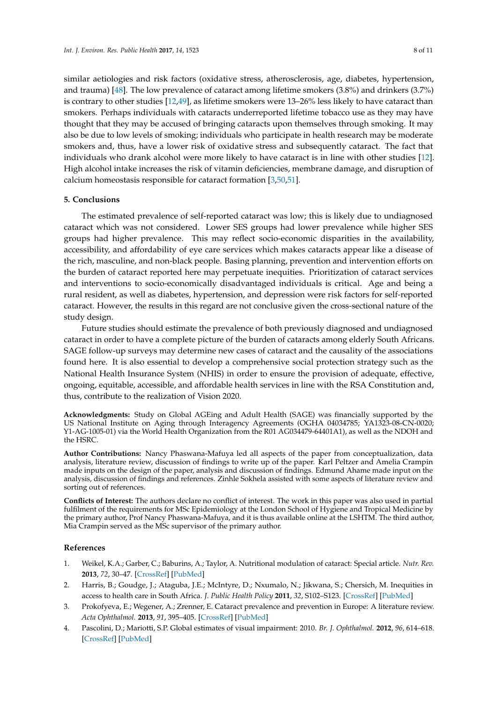similar aetiologies and risk factors (oxidative stress, atherosclerosis, age, diabetes, hypertension, and trauma) [\[48\]](#page-9-13). The low prevalence of cataract among lifetime smokers (3.8%) and drinkers (3.7%) is contrary to other studies [\[12,](#page-8-7)[49\]](#page-10-0), as lifetime smokers were 13–26% less likely to have cataract than smokers. Perhaps individuals with cataracts underreported lifetime tobacco use as they may have thought that they may be accused of bringing cataracts upon themselves through smoking. It may also be due to low levels of smoking; individuals who participate in health research may be moderate smokers and, thus, have a lower risk of oxidative stress and subsequently cataract. The fact that individuals who drank alcohol were more likely to have cataract is in line with other studies [\[12\]](#page-8-7). High alcohol intake increases the risk of vitamin deficiencies, membrane damage, and disruption of calcium homeostasis responsible for cataract formation [\[3](#page-7-2)[,50](#page-10-1)[,51\]](#page-10-2).

#### **5. Conclusions**

The estimated prevalence of self-reported cataract was low; this is likely due to undiagnosed cataract which was not considered. Lower SES groups had lower prevalence while higher SES groups had higher prevalence. This may reflect socio-economic disparities in the availability, accessibility, and affordability of eye care services which makes cataracts appear like a disease of the rich, masculine, and non-black people. Basing planning, prevention and intervention efforts on the burden of cataract reported here may perpetuate inequities. Prioritization of cataract services and interventions to socio-economically disadvantaged individuals is critical. Age and being a rural resident, as well as diabetes, hypertension, and depression were risk factors for self-reported cataract. However, the results in this regard are not conclusive given the cross-sectional nature of the study design.

Future studies should estimate the prevalence of both previously diagnosed and undiagnosed cataract in order to have a complete picture of the burden of cataracts among elderly South Africans. SAGE follow-up surveys may determine new cases of cataract and the causality of the associations found here. It is also essential to develop a comprehensive social protection strategy such as the National Health Insurance System (NHIS) in order to ensure the provision of adequate, effective, ongoing, equitable, accessible, and affordable health services in line with the RSA Constitution and, thus, contribute to the realization of Vision 2020.

**Acknowledgments:** Study on Global AGEing and Adult Health (SAGE) was financially supported by the US National Institute on Aging through Interagency Agreements (OGHA 04034785; YA1323-08-CN-0020; Y1-AG-1005-01) via the World Health Organization from the R01 AG034479-64401A1), as well as the NDOH and the HSRC.

**Author Contributions:** Nancy Phaswana-Mafuya led all aspects of the paper from conceptualization, data analysis, literature review, discussion of findings to write up of the paper. Karl Peltzer and Amelia Crampin made inputs on the design of the paper, analysis and discussion of findings. Edmund Ahame made input on the analysis, discussion of findings and references. Zinhle Sokhela assisted with some aspects of literature review and sorting out of references.

**Conflicts of Interest:** The authors declare no conflict of interest. The work in this paper was also used in partial fulfilment of the requirements for MSc Epidemiology at the London School of Hygiene and Tropical Medicine by the primary author, Prof Nancy Phaswana-Mafuya, and it is thus available online at the LSHTM. The third author, Mia Crampin served as the MSc supervisor of the primary author.

#### **References**

- <span id="page-7-0"></span>1. Weikel, K.A.; Garber, C.; Baburins, A.; Taylor, A. Nutritional modulation of cataract: Special article. *Nutr. Rev.* **2013**, *72*, 30–47. [\[CrossRef\]](http://dx.doi.org/10.1111/nure.12077) [\[PubMed\]](http://www.ncbi.nlm.nih.gov/pubmed/24279748)
- <span id="page-7-1"></span>2. Harris, B.; Goudge, J.; Ataguba, J.E.; McIntyre, D.; Nxumalo, N.; Jikwana, S.; Chersich, M. Inequities in access to health care in South Africa. *J. Public Health Policy* **2011**, *32*, S102–S123. [\[CrossRef\]](http://dx.doi.org/10.1057/jphp.2011.35) [\[PubMed\]](http://www.ncbi.nlm.nih.gov/pubmed/21730985)
- <span id="page-7-2"></span>3. Prokofyeva, E.; Wegener, A.; Zrenner, E. Cataract prevalence and prevention in Europe: A literature review. *Acta Ophthalmol.* **2013**, *91*, 395–405. [\[CrossRef\]](http://dx.doi.org/10.1111/j.1755-3768.2012.02444.x) [\[PubMed\]](http://www.ncbi.nlm.nih.gov/pubmed/22715900)
- <span id="page-7-3"></span>4. Pascolini, D.; Mariotti, S.P. Global estimates of visual impairment: 2010. *Br. J. Ophthalmol.* **2012**, *96*, 614–618. [\[CrossRef\]](http://dx.doi.org/10.1136/bjophthalmol-2011-300539) [\[PubMed\]](http://www.ncbi.nlm.nih.gov/pubmed/22133988)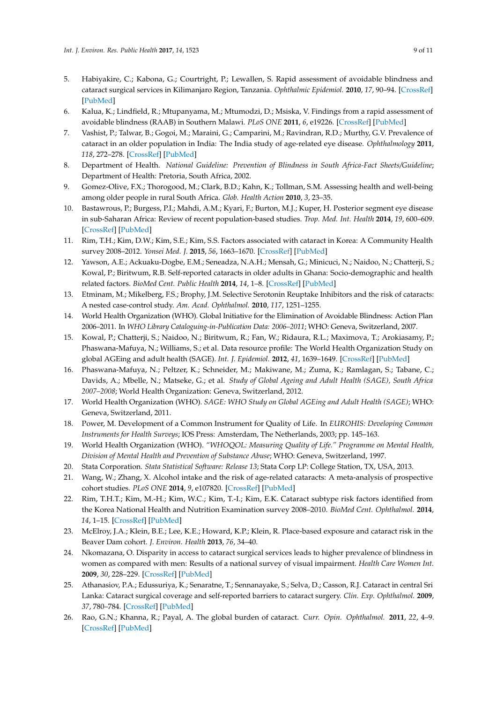- <span id="page-8-0"></span>5. Habiyakire, C.; Kabona, G.; Courtright, P.; Lewallen, S. Rapid assessment of avoidable blindness and cataract surgical services in Kilimanjaro Region, Tanzania. *Ophthalmic Epidemiol.* **2010**, *17*, 90–94. [\[CrossRef\]](http://dx.doi.org/10.3109/09286580903453514) [\[PubMed\]](http://www.ncbi.nlm.nih.gov/pubmed/20132092)
- <span id="page-8-1"></span>6. Kalua, K.; Lindfield, R.; Mtupanyama, M.; Mtumodzi, D.; Msiska, V. Findings from a rapid assessment of avoidable blindness (RAAB) in Southern Malawi. *PLoS ONE* **2011**, *6*, e19226. [\[CrossRef\]](http://dx.doi.org/10.1371/journal.pone.0019226) [\[PubMed\]](http://www.ncbi.nlm.nih.gov/pubmed/21547074)
- <span id="page-8-2"></span>7. Vashist, P.; Talwar, B.; Gogoi, M.; Maraini, G.; Camparini, M.; Ravindran, R.D.; Murthy, G.V. Prevalence of cataract in an older population in India: The India study of age-related eye disease. *Ophthalmology* **2011**, *118*, 272–278. [\[CrossRef\]](http://dx.doi.org/10.1016/j.ophtha.2010.05.020) [\[PubMed\]](http://www.ncbi.nlm.nih.gov/pubmed/20801514)
- <span id="page-8-3"></span>8. Department of Health. *National Guideline: Prevention of Blindness in South Africa-Fact Sheets/Guideline*; Department of Health: Pretoria, South Africa, 2002.
- <span id="page-8-4"></span>9. Gomez-Olive, F.X.; Thorogood, M.; Clark, B.D.; Kahn, K.; Tollman, S.M. Assessing health and well-being among older people in rural South Africa. *Glob. Health Action* **2010**, *3*, 23–35.
- <span id="page-8-5"></span>10. Bastawrous, P.; Burgess, P.I.; Mahdi, A.M.; Kyari, F.; Burton, M.J.; Kuper, H. Posterior segment eye disease in sub-Saharan Africa: Review of recent population-based studies. *Trop. Med. Int. Health* **2014**, *19*, 600–609. [\[CrossRef\]](http://dx.doi.org/10.1111/tmi.12276) [\[PubMed\]](http://www.ncbi.nlm.nih.gov/pubmed/24479434)
- <span id="page-8-6"></span>11. Rim, T.H.; Kim, D.W.; Kim, S.E.; Kim, S.S. Factors associated with cataract in Korea: A Community Health survey 2008–2012. *Yonsei Med. J.* **2015**, *56*, 1663–1670. [\[CrossRef\]](http://dx.doi.org/10.3349/ymj.2015.56.6.1663) [\[PubMed\]](http://www.ncbi.nlm.nih.gov/pubmed/26446652)
- <span id="page-8-7"></span>12. Yawson, A.E.; Ackuaku-Dogbe, E.M.; Seneadza, N.A.H.; Mensah, G.; Minicuci, N.; Naidoo, N.; Chatterji, S.; Kowal, P.; Biritwum, R.B. Self-reported cataracts in older adults in Ghana: Socio-demographic and health related factors. *BioMed Cent. Public Health* **2014**, *14*, 1–8. [\[CrossRef\]](http://dx.doi.org/10.1186/1471-2458-14-949) [\[PubMed\]](http://www.ncbi.nlm.nih.gov/pubmed/25216928)
- <span id="page-8-8"></span>13. Etminam, M.; Mikelberg, F.S.; Brophy, J.M. Selective Serotonin Reuptake Inhibitors and the risk of cataracts: A nested case-control study. *Am. Acad. Ophthalmol.* **2010**, *117*, 1251–1255.
- <span id="page-8-9"></span>14. World Health Organization (WHO). Global Initiative for the Elimination of Avoidable Blindness: Action Plan 2006–2011. In *WHO Library Cataloguing-in-Publication Data: 2006–2011*; WHO: Geneva, Switzerland, 2007.
- <span id="page-8-10"></span>15. Kowal, P.; Chatterji, S.; Naidoo, N.; Biritwum, R.; Fan, W.; Ridaura, R.L.; Maximova, T.; Arokiasamy, P.; Phaswana-Mafuya, N.; Williams, S.; et al. Data resource profile: The World Health Organization Study on global AGEing and adult health (SAGE). *Int. J. Epidemiol.* **2012**, *41*, 1639–1649. [\[CrossRef\]](http://dx.doi.org/10.1093/ije/dys210) [\[PubMed\]](http://www.ncbi.nlm.nih.gov/pubmed/23283715)
- <span id="page-8-20"></span>16. Phaswana-Mafuya, N.; Peltzer, K.; Schneider, M.; Makiwane, M.; Zuma, K.; Ramlagan, S.; Tabane, C.; Davids, A.; Mbelle, N.; Matseke, G.; et al. *Study of Global Ageing and Adult Health (SAGE), South Africa 2007–2008*; World Health Organization: Geneva, Switzerland, 2012.
- <span id="page-8-11"></span>17. World Health Organization (WHO). *SAGE: WHO Study on Global AGEing and Adult Health (SAGE)*; WHO: Geneva, Switzerland, 2011.
- <span id="page-8-12"></span>18. Power, M. Development of a Common Instrument for Quality of Life. In *EUROHIS: Developing Common Instruments for Health Surveys*; IOS Press: Amsterdam, The Netherlands, 2003; pp. 145–163.
- <span id="page-8-13"></span>19. World Health Organization (WHO). *"WHOQOL: Measuring Quality of Life." Programme on Mental Health, Division of Mental Health and Prevention of Substance Abuse*; WHO: Geneva, Switzerland, 1997.
- <span id="page-8-14"></span>20. Stata Corporation. *Stata Statistical Software: Release 13*; Stata Corp LP: College Station, TX, USA, 2013.
- <span id="page-8-15"></span>21. Wang, W.; Zhang, X. Alcohol intake and the risk of age-related cataracts: A meta-analysis of prospective cohort studies. *PLoS ONE* **2014**, *9*, e107820. [\[CrossRef\]](http://dx.doi.org/10.1371/journal.pone.0107820) [\[PubMed\]](http://www.ncbi.nlm.nih.gov/pubmed/25238065)
- <span id="page-8-17"></span>22. Rim, T.H.T.; Kim, M.-H.; Kim, W.C.; Kim, T.-I.; Kim, E.K. Cataract subtype risk factors identified from the Korea National Health and Nutrition Examination survey 2008–2010. *BioMed Cent. Ophthalmol.* **2014**, *14*, 1–15. [\[CrossRef\]](http://dx.doi.org/10.1186/1471-2415-14-4) [\[PubMed\]](http://www.ncbi.nlm.nih.gov/pubmed/24410920)
- <span id="page-8-18"></span>23. McElroy, J.A.; Klein, B.E.; Lee, K.E.; Howard, K.P.; Klein, R. Place-based exposure and cataract risk in the Beaver Dam cohort. *J. Environ. Health* **2013**, *76*, 34–40.
- <span id="page-8-19"></span>24. Nkomazana, O. Disparity in access to cataract surgical services leads to higher prevalence of blindness in women as compared with men: Results of a national survey of visual impairment. *Health Care Women Int.* **2009**, *30*, 228–229. [\[CrossRef\]](http://dx.doi.org/10.1080/07399330802662010) [\[PubMed\]](http://www.ncbi.nlm.nih.gov/pubmed/19191116)
- 25. Athanasiov, P.A.; Edussuriya, K.; Senaratne, T.; Sennanayake, S.; Selva, D.; Casson, R.J. Cataract in central Sri Lanka: Cataract surgical coverage and self-reported barriers to cataract surgery. *Clin. Exp. Ophthalmol.* **2009**, *37*, 780–784. [\[CrossRef\]](http://dx.doi.org/10.1111/j.1442-9071.2009.02152.x) [\[PubMed\]](http://www.ncbi.nlm.nih.gov/pubmed/19878223)
- <span id="page-8-16"></span>26. Rao, G.N.; Khanna, R.; Payal, A. The global burden of cataract. *Curr. Opin. Ophthalmol.* **2011**, *22*, 4–9. [\[CrossRef\]](http://dx.doi.org/10.1097/ICU.0b013e3283414fc8) [\[PubMed\]](http://www.ncbi.nlm.nih.gov/pubmed/21107260)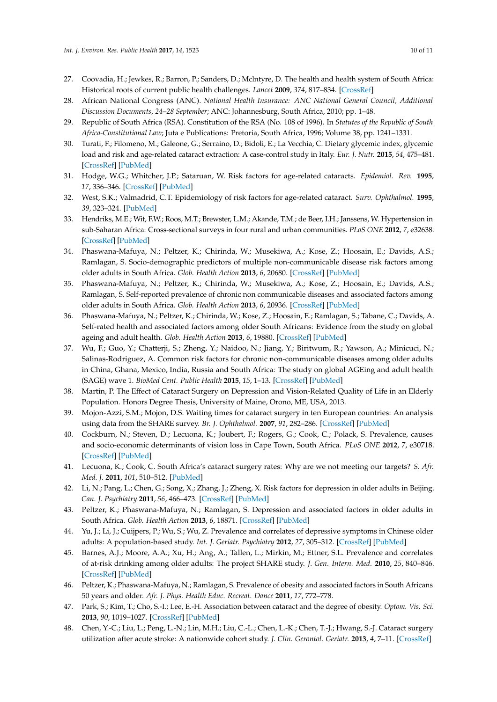- <span id="page-9-0"></span>27. Coovadia, H.; Jewkes, R.; Barron, P.; Sanders, D.; Mclntyre, D. The health and health system of South Africa: Historical roots of current public health challenges. *Lancet* **2009**, *374*, 817–834. [\[CrossRef\]](http://dx.doi.org/10.1016/S0140-6736(09)60951-X)
- <span id="page-9-1"></span>28. African National Congress (ANC). *National Health Insurance: ANC National General Council, Additional Discussion Documents, 24–28 September*; ANC: Johannesburg, South Africa, 2010; pp. 1–48.
- <span id="page-9-2"></span>29. Republic of South Africa (RSA). Constitution of the RSA (No. 108 of 1996). In *Statutes of the Republic of South Africa-Constitutional Law*; Juta e Publications: Pretoria, South Africa, 1996; Volume 38, pp. 1241–1331.
- <span id="page-9-3"></span>30. Turati, F.; Filomeno, M.; Galeone, G.; Serraino, D.; Bidoli, E.; La Vecchia, C. Dietary glycemic index, glycemic load and risk and age-related cataract extraction: A case-control study in Italy. *Eur. J. Nutr.* **2015**, *54*, 475–481. [\[CrossRef\]](http://dx.doi.org/10.1007/s00394-014-0731-y) [\[PubMed\]](http://www.ncbi.nlm.nih.gov/pubmed/25018030)
- <span id="page-9-4"></span>31. Hodge, W.G.; Whitcher, J.P.; Sataruan, W. Risk factors for age-related cataracts. *Epidemiol. Rev.* **1995**, *17*, 336–346. [\[CrossRef\]](http://dx.doi.org/10.1093/oxfordjournals.epirev.a036197) [\[PubMed\]](http://www.ncbi.nlm.nih.gov/pubmed/8654515)
- <span id="page-9-5"></span>32. West, S.K.; Valmadrid, C.T. Epidemiology of risk factors for age-related cataract. *Surv. Ophthalmol.* **1995**, *39*, 323–324. [\[PubMed\]](http://www.ncbi.nlm.nih.gov/pubmed/7725232)
- <span id="page-9-6"></span>33. Hendriks, M.E.; Wit, F.W.; Roos, M.T.; Brewster, L.M.; Akande, T.M.; de Beer, I.H.; Janssens, W. Hypertension in sub-Saharan Africa: Cross-sectional surveys in four rural and urban communities. *PLoS ONE* **2012**, *7*, e32638. [\[CrossRef\]](http://dx.doi.org/10.1371/journal.pone.0032638) [\[PubMed\]](http://www.ncbi.nlm.nih.gov/pubmed/22427857)
- 34. Phaswana-Mafuya, N.; Peltzer, K.; Chirinda, W.; Musekiwa, A.; Kose, Z.; Hoosain, E.; Davids, A.S.; Ramlagan, S. Socio-demographic predictors of multiple non-communicable disease risk factors among older adults in South Africa. *Glob. Health Action* **2013**, *6*, 20680. [\[CrossRef\]](http://dx.doi.org/10.3402/gha.v6i0.20680) [\[PubMed\]](http://www.ncbi.nlm.nih.gov/pubmed/24044582)
- 35. Phaswana-Mafuya, N.; Peltzer, K.; Chirinda, W.; Musekiwa, A.; Kose, Z.; Hoosain, E.; Davids, A.S.; Ramlagan, S. Self-reported prevalence of chronic non communicable diseases and associated factors among older adults in South Africa. *Glob. Health Action* **2013**, *6*, 20936. [\[CrossRef\]](http://dx.doi.org/10.3402/gha.v6i0.20936) [\[PubMed\]](http://www.ncbi.nlm.nih.gov/pubmed/24054088)
- 36. Phaswana-Mafuya, N.; Peltzer, K.; Chirinda, W.; Kose, Z.; Hoosain, E.; Ramlagan, S.; Tabane, C.; Davids, A. Self-rated health and associated factors among older South Africans: Evidence from the study on global ageing and adult health. *Glob. Health Action* **2013**, *6*, 19880. [\[CrossRef\]](http://dx.doi.org/10.3402/gha.v6i0.19880) [\[PubMed\]](http://www.ncbi.nlm.nih.gov/pubmed/28140909)
- <span id="page-9-7"></span>37. Wu, F.; Guo, Y.; Chatterji, S.; Zheng, Y.; Naidoo, N.; Jiang, Y.; Biritwum, R.; Yawson, A.; Minicuci, N.; Salinas-Rodriguez, A. Common risk factors for chronic non-communicable diseases among older adults in China, Ghana, Mexico, India, Russia and South Africa: The study on global AGEing and adult health (SAGE) wave 1. *BioMed Cent. Public Health* **2015**, *15*, 1–13. [\[CrossRef\]](http://dx.doi.org/10.1186/s12889-015-1407-0) [\[PubMed\]](http://www.ncbi.nlm.nih.gov/pubmed/25885218)
- <span id="page-9-8"></span>38. Martin, P. The Effect of Cataract Surgery on Depression and Vision-Related Quality of Life in an Elderly Population. Honors Degree Thesis, University of Maine, Orono, ME, USA, 2013.
- 39. Mojon-Azzi, S.M.; Mojon, D.S. Waiting times for cataract surgery in ten European countries: An analysis using data from the SHARE survey. *Br. J. Ophthalmol.* **2007**, *91*, 282–286. [\[CrossRef\]](http://dx.doi.org/10.1136/bjo.2006.098145) [\[PubMed\]](http://www.ncbi.nlm.nih.gov/pubmed/17108016)
- 40. Cockburn, N.; Steven, D.; Lecuona, K.; Joubert, F.; Rogers, G.; Cook, C.; Polack, S. Prevalence, causes and socio-economic determinants of vision loss in Cape Town, South Africa. *PLoS ONE* **2012**, *7*, e30718. [\[CrossRef\]](http://dx.doi.org/10.1371/journal.pone.0030718) [\[PubMed\]](http://www.ncbi.nlm.nih.gov/pubmed/22363476)
- 41. Lecuona, K.; Cook, C. South Africa's cataract surgery rates: Why are we not meeting our targets? *S. Afr. Med. J.* **2011**, *101*, 510–512. [\[PubMed\]](http://www.ncbi.nlm.nih.gov/pubmed/21920119)
- 42. Li, N.; Pang, L.; Chen, G.; Song, X.; Zhang, J.; Zheng, X. Risk factors for depression in older adults in Beijing. *Can. J. Psychiatry* **2011**, *56*, 466–473. [\[CrossRef\]](http://dx.doi.org/10.1177/070674371105600804) [\[PubMed\]](http://www.ncbi.nlm.nih.gov/pubmed/21878157)
- 43. Peltzer, K.; Phaswana-Mafuya, N.; Ramlagan, S. Depression and associated factors in older adults in South Africa. *Glob. Health Action* **2013**, *6*, 18871. [\[CrossRef\]](http://dx.doi.org/10.3402/gha.v6i0.18871) [\[PubMed\]](http://www.ncbi.nlm.nih.gov/pubmed/23336621)
- <span id="page-9-9"></span>44. Yu, J.; Li, J.; Cuijpers, P.; Wu, S.; Wu, Z. Prevalence and correlates of depressive symptoms in Chinese older adults: A population-based study. *Int. J. Geriatr. Psychiatry* **2012**, *27*, 305–312. [\[CrossRef\]](http://dx.doi.org/10.1002/gps.2721) [\[PubMed\]](http://www.ncbi.nlm.nih.gov/pubmed/21538538)
- <span id="page-9-10"></span>45. Barnes, A.J.; Moore, A.A.; Xu, H.; Ang, A.; Tallen, L.; Mirkin, M.; Ettner, S.L. Prevalence and correlates of at-risk drinking among older adults: The project SHARE study. *J. Gen. Intern. Med.* **2010**, *25*, 840–846. [\[CrossRef\]](http://dx.doi.org/10.1007/s11606-010-1341-x) [\[PubMed\]](http://www.ncbi.nlm.nih.gov/pubmed/20396975)
- <span id="page-9-11"></span>46. Peltzer, K.; Phaswana-Mafuya, N.; Ramlagan, S. Prevalence of obesity and associated factors in South Africans 50 years and older. *Afr. J. Phys. Health Educ. Recreat. Dance* **2011**, *17*, 772–778.
- <span id="page-9-12"></span>47. Park, S.; Kim, T.; Cho, S.-I.; Lee, E.-H. Association between cataract and the degree of obesity. *Optom. Vis. Sci.* **2013**, *90*, 1019–1027. [\[CrossRef\]](http://dx.doi.org/10.1097/OPX.0b013e31829cae62) [\[PubMed\]](http://www.ncbi.nlm.nih.gov/pubmed/23811609)
- <span id="page-9-13"></span>48. Chen, Y.-C.; Liu, L.; Peng, L.-N.; Lin, M.H.; Liu, C.-L.; Chen, L.-K.; Chen, T.-J.; Hwang, S.-J. Cataract surgery utilization after acute stroke: A nationwide cohort study. *J. Clin. Gerontol. Geriatr.* **2013**, *4*, 7–11. [\[CrossRef\]](http://dx.doi.org/10.1016/j.jcgg.2012.10.002)